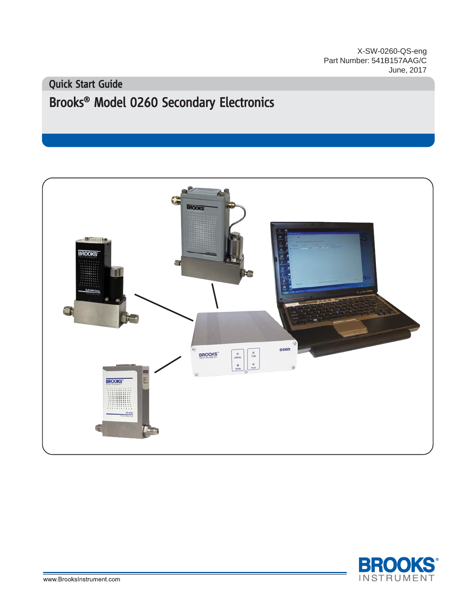X-SW-0260-QS-eng Part Number: 541B157AAG/C June, 2017

# Brooks<sup>®</sup> Model 0260 Secondary Electronics Quick Start Guide



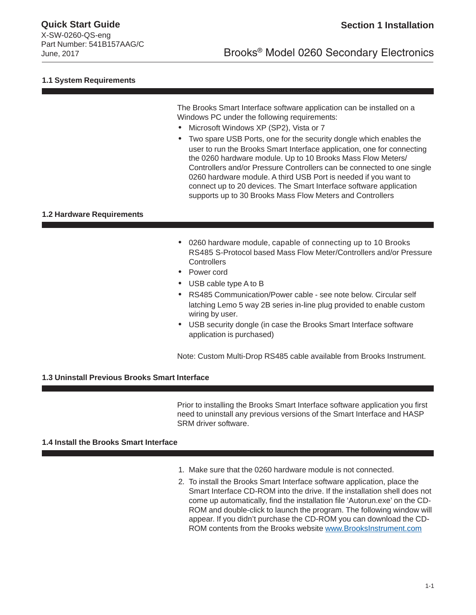X-SW-0260-QS-eng Part Number: 541B157AAG/C

### **1.1 System Requirements**

The Brooks Smart Interface software application can be installed on a Windows PC under the following requirements:

- Microsoft Windows XP (SP2), :LQGRX Vista or 7
- Two spare USB Ports, one for the security dongle which enables the user to run the Brooks Smart Interface application, one for connecting the 0260 hardware module. Up to 10 Brooks Mass Flow Meters/ Controllers and/or Pressure Controllers can be connected to one single 0260 hardware module. A third USB Port is needed if you want to connect up to 20 devices. The Smart Interface software application supports up to 30 Brooks Mass Flow Meters and Controllers

### **1.2 Hardware Requirements**

- 0260 hardware module, capable of connecting up to 10 Brooks RS485 S-Protocol based Mass Flow Meter/Controllers and/or Pressure **Controllers**
- Power cord
- USB cable type A to B
- RS485 Communication/Power cable see note below. Circular self latching Lemo 5 way 2B series in-line plug provided to enable custom wiring by user.
- USB security dongle (in case the Brooks Smart Interface software application is purchased)

Note: Custom Multi-Drop RS485 cable available from Brooks Instrument.

### **1.3 Uninstall Previous Brooks Smart Interface**

Prior to installing the Brooks Smart Interface software application you first need to uninstall any previous versions of the Smart Interface and HASP SRM driver software.

### **1.4 Install the Brooks Smart Interface**

- 1. Make sure that the 0260 hardware module is not connected.
- 2. To install the Brooks Smart Interface software application, place the Smart Interface CD-ROM into the drive. If the installation shell does not come up automatically, find the installation file 'Autorun.exe' on the CD-ROM and double-click to launch the program. The following window will appear. If you didn't purchase the CD-ROM you can download the CD-ROM contents from the Brooks website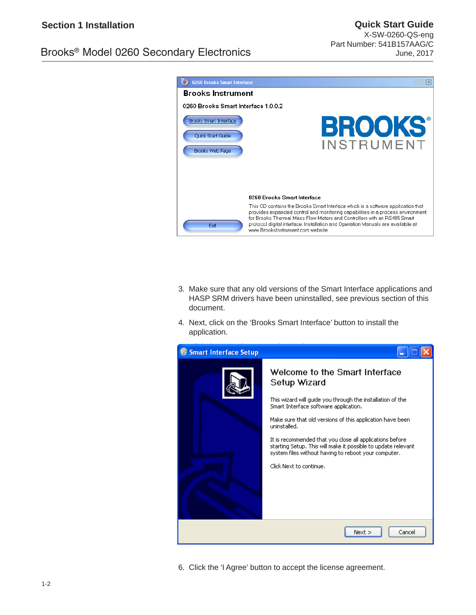# Brooks® Model 0260 Secondary Electronics

**Quick Start Guide** X-SW-0260-QS-eng Part Number: 541B157AAG/C June, 2017



- 3. Make sure that any old versions of the Smart Interface applications and HASP SRM drivers have been uninstalled, see previous section of this document.
- 4. Next, click on the 'Brooks Smart Interface' button to install the application.



6. Click the 'I Agree' button to accept the license agreement.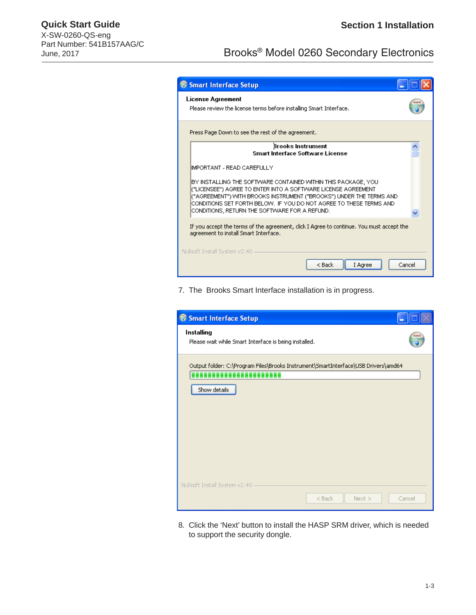# **Quick Start Guide Section 1 Installation** X-SW-0260-QS-eng Part Number: 541B157AAG/C

# June, 2017<br>June, 2017

|                                                                                                                                   | <b>S</b> Smart Interface Setup                                                                                                                                                                                                                                                                                                |  |  |
|-----------------------------------------------------------------------------------------------------------------------------------|-------------------------------------------------------------------------------------------------------------------------------------------------------------------------------------------------------------------------------------------------------------------------------------------------------------------------------|--|--|
|                                                                                                                                   | License Agreement<br>Please review the license terms before installing Smart Interface.                                                                                                                                                                                                                                       |  |  |
| Press Page Down to see the rest of the agreement.                                                                                 |                                                                                                                                                                                                                                                                                                                               |  |  |
|                                                                                                                                   | <b>Brooks Instrument</b><br><b>Smart Interface Software License</b>                                                                                                                                                                                                                                                           |  |  |
|                                                                                                                                   | İMPORTANT - READ CAREFULLY                                                                                                                                                                                                                                                                                                    |  |  |
|                                                                                                                                   | BY INSTALLING THE SOFTWARE CONTAINED WITHIN THIS PACKAGE, YOU<br>("LICENSEE") AGREE TO ENTER INTO A SOFTVVARE LICENSE AGREEMENT<br>("AGREEMENT") WITH BROOKS INSTRUMENT ("BROOKS") UNDER THE TERMS AND<br>CONDITIONS SET FORTH BELOW. IF YOU DO NOT AGREE TO THESE TERMS AND<br>CONDITIONS, RETURN THE SOFTWARE FOR A REFUND. |  |  |
| If you accept the terms of the agreement, click I Agree to continue. You must accept the<br>agreement to install Smart Interface. |                                                                                                                                                                                                                                                                                                                               |  |  |
| Nullsoft Install System v2.40<br>$<$ Back<br>I Agree<br>Cancel                                                                    |                                                                                                                                                                                                                                                                                                                               |  |  |

7. The Brooks Smart Interface installation is in progress.

| Smart Interface Setup                                                                              |        |
|----------------------------------------------------------------------------------------------------|--------|
| Installing<br>Please wait while Smart Interface is being installed.                                |        |
| Output folder: C:\Program Files\Brooks Instrument\SmartInterface\USB Drivers\amd64<br>Show details |        |
| Nullsoft Install System v2.40<br>$<$ Back<br>$Next$ >                                              | Cancel |

8. Click the 'Next' button to install the HASP SRM driver, which is needed to support the security dongle.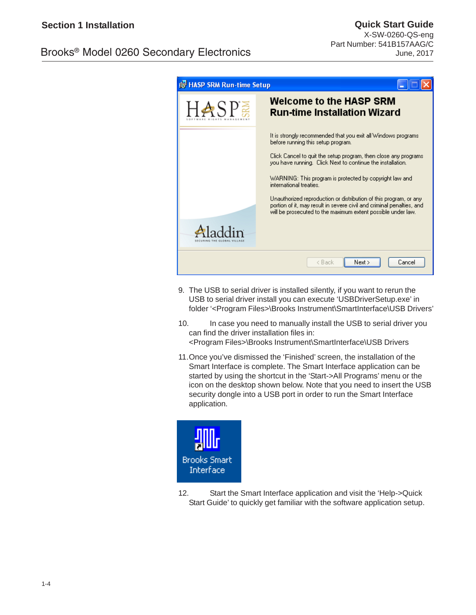# Brooks® Model 0260 Secondary Electronics

| <b>19 HASP SRM Run-time Setup</b> |                                                                                                                                                                                                                                       |  |
|-----------------------------------|---------------------------------------------------------------------------------------------------------------------------------------------------------------------------------------------------------------------------------------|--|
| $\Sigma_S$                        | <b>Welcome to the HASP SRM</b><br><b>Run-time Installation Wizard</b>                                                                                                                                                                 |  |
|                                   | It is strongly recommended that you exit all Windows programs.<br>before running this setup program.<br>Click Cancel to quit the setup program, then close any programs<br>you have running. Click Next to continue the installation. |  |
|                                   | WARNING: This program is protected by copyright law and<br>international treaties.<br>Unauthorized reproduction or distribution of this program, or any                                                                               |  |
|                                   | portion of it, may result in severe civil and criminal penalties, and<br>will be prosecuted to the maximum extent possible under law.                                                                                                 |  |
|                                   | Next ><br>Cancel<br>< Back                                                                                                                                                                                                            |  |

- 9. The USB to serial driver is installed silently, if you want to rerun the USB to serial driver install you can execute 'USBDriverSetup.exe' in folder '<Program Files>\Brooks Instrument\SmartInterface\USB Drivers'
- 10. In case you need to manually install the USB to serial driver you can find the driver installation files in: <Program Files>\Brooks Instrument\SmartInterface\USB Drivers
- 11.Once you've dismissed the 'Finished' screen, the installation of the Smart Interface is complete. The Smart Interface application can be started by using the shortcut in the 'Start->All Programs' menu or the icon on the desktop shown below. Note that you need to insert the USB security dongle into a USB port in order to run the Smart Interface application.



12. Start the Smart Interface application and visit the 'Help->Quick Start Guide' to quickly get familiar with the software application setup.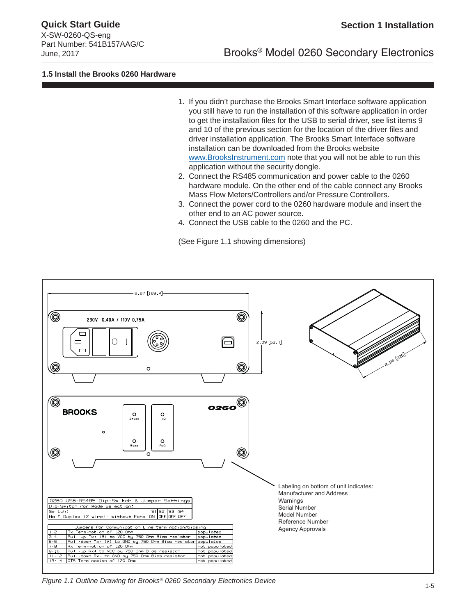X-SW-0260-QS-eng Part Number: 541B157AAG/C

# June, 2017 Brooks® Model 0260 Secondary Electronics

### **1.5 Install the Brooks 0260 Hardware**

- 1. If you didn't purchase the Brooks Smart Interface software application you still have to run the installation of this software application in order to get the installation files for the USB to serial driver, see list items 9 and 10 of the previous section for the location of the driver files and driver installation application. The Brooks Smart Interface software installation can be downloaded from the Brooks website www.BrooksInstrument.com note that you will not be able to run this application without the security dongle.
- 2. Connect the RS485 communication and power cable to the 0260 hardware module. On the other end of the cable connect any Brooks Mass Flow Meters/Controllers and/or Pressure Controllers.
- 3. Connect the power cord to the 0260 hardware module and insert the other end to an AC power source.
- 4. Connect the USB cable to the 0260 and the PC.

(See Figure 1.1 showing dimensions)



*Figure 1.1 Outline Drawing for Brooks® 0260 Secondary Electronics Device*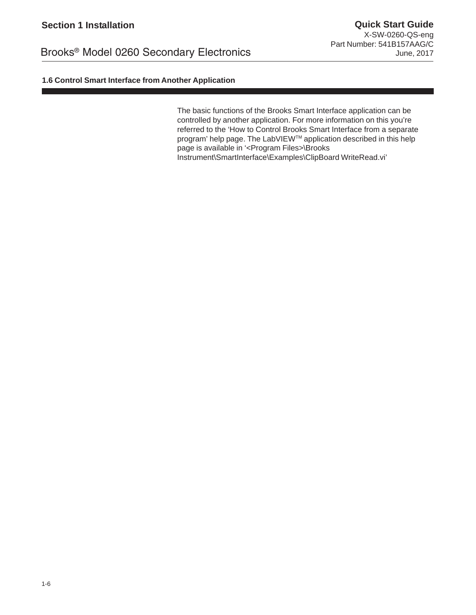## **1.6 Control Smart Interface from Another Application**

The basic functions of the Brooks Smart Interface application can be controlled by another application. For more information on this you're referred to the 'How to Control Brooks Smart Interface from a separate program' help page. The LabVIEWTM application described in this help page is available in '<Program Files>\Brooks Instrument\SmartInterface\Examples\ClipBoard WriteRead.vi'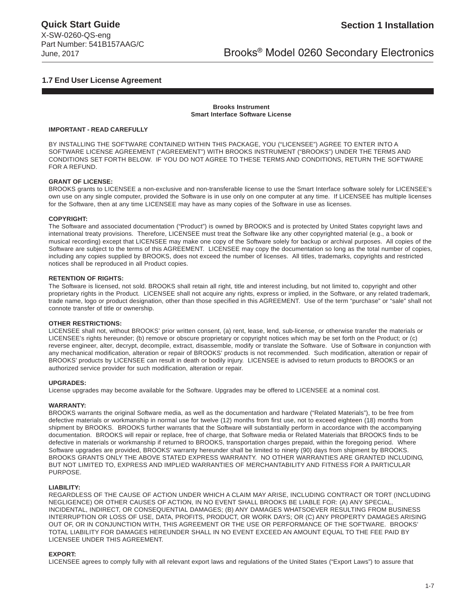# June, 2017 Brooks® Model 0260 Secondary Electronics

### **1.7 End User License Agreement**

#### **Brooks Instrument Smart Interface Software License**

#### **IMPORTANT - READ CAREFULLY**

BY INSTALLING THE SOFTWARE CONTAINED WITHIN THIS PACKAGE, YOU ("LICENSEE") AGREE TO ENTER INTO A SOFTWARE LICENSE AGREEMENT ("AGREEMENT") WITH BROOKS INSTRUMENT ("BROOKS") UNDER THE TERMS AND CONDITIONS SET FORTH BELOW. IF YOU DO NOT AGREE TO THESE TERMS AND CONDITIONS, RETURN THE SOFTWARE FOR A REFUND.

#### **GRANT OF LICENSE:**

BROOKS grants to LICENSEE a non-exclusive and non-transferable license to use the Smart Interface software solely for LICENSEE's own use on any single computer, provided the Software is in use only on one computer at any time. If LICENSEE has multiple licenses for the Software, then at any time LICENSEE may have as many copies of the Software in use as licenses.

#### **COPYRIGHT:**

The Software and associated documentation ("Product") is owned by BROOKS and is protected by United States copyright laws and international treaty provisions. Therefore, LICENSEE must treat the Software like any other copyrighted material (e.g., a book or musical recording) except that LICENSEE may make one copy of the Software solely for backup or archival purposes. All copies of the Software are subject to the terms of this AGREEMENT. LICENSEE may copy the documentation so long as the total number of copies, including any copies supplied by BROOKS, does not exceed the number of licenses. All titles, trademarks, copyrights and restricted notices shall be reproduced in all Product copies.

#### **RETENTION OF RIGHTS:**

The Software is licensed, not sold. BROOKS shall retain all right, title and interest including, but not limited to, copyright and other proprietary rights in the Product. LICENSEE shall not acquire any rights, express or implied, in the Software, or any related trademark, trade name, logo or product designation, other than those specified in this AGREEMENT. Use of the term "purchase" or "sale" shall not connote transfer of title or ownership.

#### **OTHER RESTRICTIONS:**

LICENSEE shall not, without BROOKS' prior written consent, (a) rent, lease, lend, sub-license, or otherwise transfer the materials or LICENSEE's rights hereunder; (b) remove or obscure proprietary or copyright notices which may be set forth on the Product; or (c) reverse engineer, alter, decrypt, decompile, extract, disassemble, modify or translate the Software. Use of Software in conjunction with any mechanical modification, alteration or repair of BROOKS' products is not recommended. Such modification, alteration or repair of BROOKS' products by LICENSEE can result in death or bodily injury. LICENSEE is advised to return products to BROOKS or an authorized service provider for such modification, alteration or repair.

#### **UPGRADES:**

License upgrades may become available for the Software. Upgrades may be offered to LICENSEE at a nominal cost.

#### **WARRANTY:**

BROOKS warrants the original Software media, as well as the documentation and hardware ("Related Materials"), to be free from defective materials or workmanship in normal use for twelve (12) months from first use, not to exceed eighteen (18) months from shipment by BROOKS. BROOKS further warrants that the Software will substantially perform in accordance with the accompanying documentation. BROOKS will repair or replace, free of charge, that Software media or Related Materials that BROOKS finds to be defective in materials or workmanship if returned to BROOKS, transportation charges prepaid, within the foregoing period. Where Software upgrades are provided, BROOKS' warranty hereunder shall be limited to ninety (90) days from shipment by BROOKS. BROOKS GRANTS ONLY THE ABOVE STATED EXPRESS WARRANTY. NO OTHER WARRANTIES ARE GRANTED INCLUDING, BUT NOT LIMITED TO, EXPRESS AND IMPLIED WARRANTIES OF MERCHANTABILITY AND FITNESS FOR A PARTICULAR PURPOSE.

#### **LIABILITY:**

REGARDLESS OF THE CAUSE OF ACTION UNDER WHICH A CLAIM MAY ARISE, INCLUDING CONTRACT OR TORT (INCLUDING NEGLIGENCE) OR OTHER CAUSES OF ACTION, IN NO EVENT SHALL BROOKS BE LIABLE FOR: (A) ANY SPECIAL, INCIDENTAL, INDIRECT, OR CONSEQUENTIAL DAMAGES; (B) ANY DAMAGES WHATSOEVER RESULTING FROM BUSINESS INTERRUPTION OR LOSS OF USE, DATA, PROFITS, PRODUCT, OR WORK DAYS; OR (C) ANY PROPERTY DAMAGES ARISING OUT OF, OR IN CONJUNCTION WITH, THIS AGREEMENT OR THE USE OR PERFORMANCE OF THE SOFTWARE. BROOKS' TOTAL LIABILITY FOR DAMAGES HEREUNDER SHALL IN NO EVENT EXCEED AN AMOUNT EQUAL TO THE FEE PAID BY LICENSEE UNDER THIS AGREEMENT.

#### **EXPORT:**

LICENSEE agrees to comply fully with all relevant export laws and regulations of the United States ("Export Laws") to assure that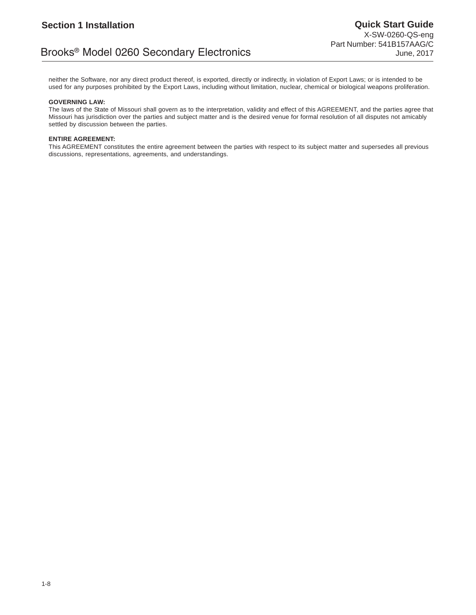# Brooks® Model 0260 Secondary Electronics

neither the Software, nor any direct product thereof, is exported, directly or indirectly, in violation of Export Laws; or is intended to be used for any purposes prohibited by the Export Laws, including without limitation, nuclear, chemical or biological weapons proliferation.

#### **GOVERNING LAW:**

The laws of the State of Missouri shall govern as to the interpretation, validity and effect of this AGREEMENT, and the parties agree that Missouri has jurisdiction over the parties and subject matter and is the desired venue for formal resolution of all disputes not amicably settled by discussion between the parties.

#### **ENTIRE AGREEMENT:**

This AGREEMENT constitutes the entire agreement between the parties with respect to its subject matter and supersedes all previous discussions, representations, agreements, and understandings.